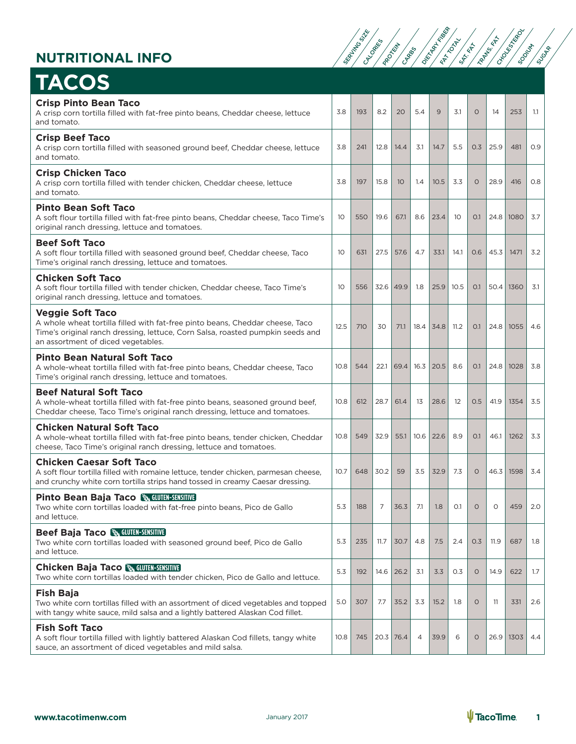

| <b>TACOS</b>                                                                                                                                                                                                                     |      |     |             |      |      |      |      |          |      |      |     |
|----------------------------------------------------------------------------------------------------------------------------------------------------------------------------------------------------------------------------------|------|-----|-------------|------|------|------|------|----------|------|------|-----|
| <b>Crisp Pinto Bean Taco</b><br>A crisp corn tortilla filled with fat-free pinto beans, Cheddar cheese, lettuce<br>and tomato.                                                                                                   | 3.8  | 193 | 8.2         | 20   | 5.4  | 9    | 3.1  | $\Omega$ | 14   | 253  | 1.1 |
| <b>Crisp Beef Taco</b><br>A crisp corn tortilla filled with seasoned ground beef, Cheddar cheese, lettuce<br>and tomato.                                                                                                         | 3.8  | 241 | 12.8        | 14.4 | 3.1  | 14.7 | 5.5  | 0.3      | 25.9 | 481  | 0.9 |
| <b>Crisp Chicken Taco</b><br>A crisp corn tortilla filled with tender chicken, Cheddar cheese, lettuce<br>and tomato.                                                                                                            | 3.8  | 197 | 15.8        | 10   | 1.4  | 10.5 | 3.3  | $\circ$  | 28.9 | 416  | 0.8 |
| <b>Pinto Bean Soft Taco</b><br>A soft flour tortilla filled with fat-free pinto beans, Cheddar cheese, Taco Time's<br>original ranch dressing, lettuce and tomatoes.                                                             | 10   | 550 | 19.6        | 67.1 | 8.6  | 23.4 | -10  | O.1      | 24.8 | 1080 | 3.7 |
| <b>Beef Soft Taco</b><br>A soft flour tortilla filled with seasoned ground beef, Cheddar cheese, Taco<br>Time's original ranch dressing, lettuce and tomatoes.                                                                   | 10   | 631 | 27.5        | 57.6 | 4.7  | 33.1 | 14.1 | 0.6      | 45.3 | 1471 | 3.2 |
| <b>Chicken Soft Taco</b><br>A soft flour tortilla filled with tender chicken, Cheddar cheese, Taco Time's<br>original ranch dressing, lettuce and tomatoes.                                                                      | 10   | 556 | 32.6        | 49.9 | 1.8  | 25.9 | 10.5 | O.1      | 50.4 | 1360 | 3.1 |
| <b>Veggie Soft Taco</b><br>A whole wheat tortilla filled with fat-free pinto beans, Cheddar cheese, Taco<br>Time's original ranch dressing, lettuce, Corn Salsa, roasted pumpkin seeds and<br>an assortment of diced vegetables. | 12.5 | 710 | 30          | 71.1 | 18.4 | 34.8 | 11.2 | 0.1      | 24.8 | 1055 | 4.6 |
| <b>Pinto Bean Natural Soft Taco</b><br>A whole-wheat tortilla filled with fat-free pinto beans, Cheddar cheese, Taco<br>Time's original ranch dressing, lettuce and tomatoes.                                                    | 10.8 | 544 | 22.1        | 69.4 | 16.3 | 20.5 | 8.6  | O.1      | 24.8 | 1028 | 3.8 |
| <b>Beef Natural Soft Taco</b><br>A whole-wheat tortilla filled with fat-free pinto beans, seasoned ground beef,<br>Cheddar cheese, Taco Time's original ranch dressing, lettuce and tomatoes.                                    | 10.8 | 612 | 28.7        | 61.4 | 13   | 28.6 | 12   | 0.5      | 41.9 | 1354 | 3.5 |
| <b>Chicken Natural Soft Taco</b><br>A whole-wheat tortilla filled with fat-free pinto beans, tender chicken, Cheddar<br>cheese, Taco Time's original ranch dressing, lettuce and tomatoes.                                       | 10.8 | 549 | 32.9        | 55.1 | 10.6 | 22.6 | 8.9  | O.1      | 46.1 | 1262 | 3.3 |
| <b>Chicken Caesar Soft Taco</b><br>A soft flour tortilla filled with romaine lettuce, tender chicken, parmesan cheese,<br>and crunchy white corn tortilla strips hand tossed in creamy Caesar dressing.                          | 10.7 | 648 | 30.2        | 59   | 3.5  | 32.9 | 7.3  | $\circ$  | 46.3 | 1598 | 3.4 |
| <b>Pinto Bean Baja Taco &amp; GLUTEN-SENSITIVE</b><br>Two white corn tortillas loaded with fat-free pinto beans, Pico de Gallo<br>and lettuce.                                                                                   | 5.3  | 188 | 7           | 36.3 | 7.1  | 1.8  | O.1  | $\circ$  | 0    | 459  | 2.0 |
| <b>Beef Baja Taco &amp; GLUTEN-SENSITIVE</b><br>Two white corn tortillas loaded with seasoned ground beef. Pico de Gallo<br>and lettuce.                                                                                         | 5.3  | 235 | 11.7        | 30.7 | 4.8  | 7.5  | 2.4  | 0.3      | 11.9 | 687  | 1.8 |
| <b>Chicken Baja Taco &amp; GLUTEN-SENSITIVE</b><br>Two white corn tortillas loaded with tender chicken, Pico de Gallo and lettuce.                                                                                               | 5.3  | 192 | 14.6        | 26.2 | 3.1  | 3.3  | 0.3  | $\circ$  | 14.9 | 622  | 1.7 |
| <b>Fish Baja</b><br>Two white corn tortillas filled with an assortment of diced vegetables and topped<br>with tangy white sauce, mild salsa and a lightly battered Alaskan Cod fillet.                                           | 5.0  | 307 | 7.7         | 35.2 | 3.3  | 15.2 | 1.8  | $\circ$  | -11  | 331  | 2.6 |
| <b>Fish Soft Taco</b><br>A soft flour tortilla filled with lightly battered Alaskan Cod fillets, tangy white<br>sauce, an assortment of diced vegetables and mild salsa.                                                         | 10.8 | 745 | $20.3$ 76.4 |      | 4    | 39.9 | 6    | $\circ$  | 26.9 | 1303 | 4.4 |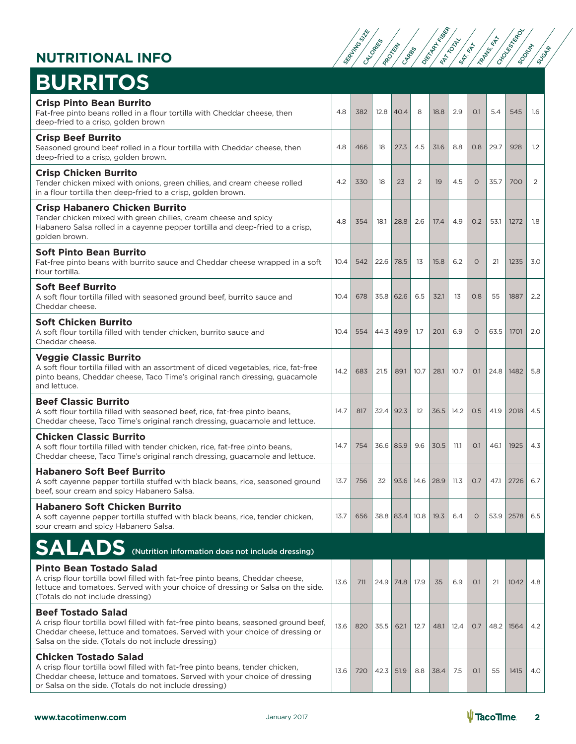

# **BURRITOS**

| <b>Crisp Pinto Bean Burrito</b><br>Fat-free pinto beans rolled in a flour tortilla with Cheddar cheese, then<br>deep-fried to a crisp, golden brown                                                                                                     | 4.8  | 382 | 12.8        | 40.4 | 8    | 18.8                    | 2.9  | O.1     | 5.4  | 545                 | 1.6 |
|---------------------------------------------------------------------------------------------------------------------------------------------------------------------------------------------------------------------------------------------------------|------|-----|-------------|------|------|-------------------------|------|---------|------|---------------------|-----|
| <b>Crisp Beef Burrito</b><br>Seasoned ground beef rolled in a flour tortilla with Cheddar cheese, then<br>deep-fried to a crisp, golden brown.                                                                                                          | 4.8  | 466 | 18          | 27.3 | 4.5  | 31.6                    | 8.8  | 0.8     | 29.7 | 928                 | 1.2 |
| <b>Crisp Chicken Burrito</b><br>Tender chicken mixed with onions, green chilies, and cream cheese rolled<br>in a flour tortilla then deep-fried to a crisp, golden brown.                                                                               | 4.2  | 330 | 18          | 23   | 2    | 19                      | 4.5  | $\circ$ | 35.7 | 700                 | 2   |
| <b>Crisp Habanero Chicken Burrito</b><br>Tender chicken mixed with green chilies, cream cheese and spicy<br>Habanero Salsa rolled in a cayenne pepper tortilla and deep-fried to a crisp,<br>golden brown.                                              | 4.8  | 354 | 18.1        | 28.8 | 2.6  | 17.4                    | 4.9  | O.2     | 53.1 | 1272                | 1.8 |
| <b>Soft Pinto Bean Burrito</b><br>Fat-free pinto beans with burrito sauce and Cheddar cheese wrapped in a soft<br>flour tortilla.                                                                                                                       | 10.4 | 542 | 22.6        | 78.5 | 13   | 15.8                    | 6.2  | $\circ$ | 21   | 1235                | 3.0 |
| <b>Soft Beef Burrito</b><br>A soft flour tortilla filled with seasoned ground beef, burrito sauce and<br>Cheddar cheese.                                                                                                                                | 10.4 | 678 | $35.8$ 62.6 |      | 6.5  | 32.1                    | 13   | 0.8     | 55   | 1887                | 2.2 |
| <b>Soft Chicken Burrito</b><br>A soft flour tortilla filled with tender chicken, burrito sauce and<br>Cheddar cheese.                                                                                                                                   | 10.4 | 554 | 44.3        | 49.9 | 1.7  | 20.1                    | 6.9  | $\circ$ | 63.5 | 1701                | 2.0 |
| <b>Veggie Classic Burrito</b><br>A soft flour tortilla filled with an assortment of diced vegetables, rice, fat-free<br>pinto beans, Cheddar cheese, Taco Time's original ranch dressing, guacamole<br>and lettuce.                                     | 14.2 | 683 | 21.5        | 89.1 | 10.7 | 28.1                    | 10.7 | O.1     |      | 24.8   1482         | 5.8 |
| <b>Beef Classic Burrito</b><br>A soft flour tortilla filled with seasoned beef, rice, fat-free pinto beans,<br>Cheddar cheese, Taco Time's original ranch dressing, guacamole and lettuce.                                                              | 14.7 | 817 | 32.4        | 92.3 | 12   | 36.5                    | 14.2 | 0.5     | 41.9 | 2018                | 4.5 |
| <b>Chicken Classic Burrito</b><br>A soft flour tortilla filled with tender chicken, rice, fat-free pinto beans,<br>Cheddar cheese, Taco Time's original ranch dressing, guacamole and lettuce.                                                          | 14.7 | 754 | $36.6$ 85.9 |      | 9.6  | 30.5                    | 11.1 | O.1     | 46.1 | 1925                | 4.3 |
| <b>Habanero Soft Beef Burrito</b><br>A soft cayenne pepper tortilla stuffed with black beans, rice, seasoned ground<br>beef, sour cream and spicy Habanero Salsa.                                                                                       | 13.7 | 756 | 32          | 93.6 | 14.6 | 28.9                    | 11.3 | 0.7     | 47.1 | 2726                | 6.7 |
| <b>Habanero Soft Chicken Burrito</b><br>A soft cayenne pepper tortilla stuffed with black beans, rice, tender chicken,<br>sour cream and spicy Habanero Salsa.                                                                                          | 13.7 | 656 |             |      |      | 38.8 83.4 10.8 19.3 6.4 |      | $\circ$ |      | $53.9$   2578   6.5 |     |
| <b>SALADS</b> (Nutrition information does not include dressing)                                                                                                                                                                                         |      |     |             |      |      |                         |      |         |      |                     |     |
| <b>Pinto Bean Tostado Salad</b><br>A crisp flour tortilla bowl filled with fat-free pinto beans, Cheddar cheese,<br>lettuce and tomatoes. Served with your choice of dressing or Salsa on the side.<br>(Totals do not include dressing)                 | 13.6 | 711 | 24.9        | 74.8 | 17.9 | 35                      | 6.9  | O.1     | 21   | 1042                | 4.8 |
| <b>Beef Tostado Salad</b><br>A crisp flour tortilla bowl filled with fat-free pinto beans, seasoned ground beef,<br>Cheddar cheese, lettuce and tomatoes. Served with your choice of dressing or<br>Salsa on the side. (Totals do not include dressing) | 13.6 | 820 | 35.5        | 62.1 | 12.7 | 48.1                    | 12.4 | O.7     |      | 48.2   1564         | 4.2 |
| <b>Chicken Tostado Salad</b><br>A crisp flour tortilla bowl filled with fat-free pinto beans, tender chicken,<br>Cheddar cheese, lettuce and tomatoes. Served with your choice of dressing<br>or Salsa on the side. (Totals do not include dressing)    | 13.6 | 720 | 42.3        | 51.9 | 8.8  | 38.4                    | 7.5  | O.1     | 55   | 1415                | 4.0 |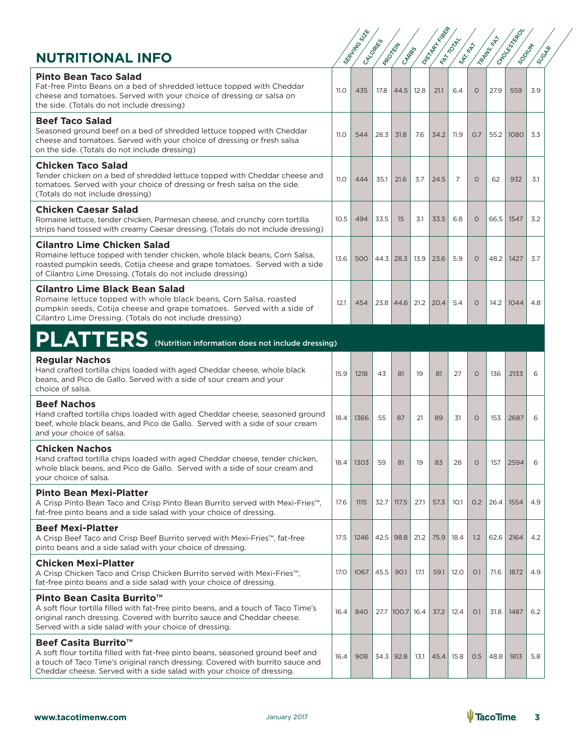| <b>NUTRITIONAL INFO</b>                                                                                                                                                                                                                                                          |             | SERVALLAND SIX | I CALGARIES | I PROTEIN<br>CARROS |      | OKTAPACKS   | I FRANCOURT<br>SAT-KEA |         | I Zamissich | I CHOOL REPLACE<br><b>SOONLY</b> | <b>SUGAR</b> |
|----------------------------------------------------------------------------------------------------------------------------------------------------------------------------------------------------------------------------------------------------------------------------------|-------------|----------------|-------------|---------------------|------|-------------|------------------------|---------|-------------|----------------------------------|--------------|
| <b>Pinto Bean Taco Salad</b><br>Fat-free Pinto Beans on a bed of shredded lettuce topped with Cheddar<br>cheese and tomatoes. Served with your choice of dressing or salsa on<br>the side. (Totals do not include dressing)                                                      | <b>11.0</b> | 435            | 17.8        | 44.5                | 12.8 | 21.1        | 6.4                    | $\circ$ | 27.9        | 559                              | 3.9          |
| <b>Beef Taco Salad</b><br>Seasoned ground beef on a bed of shredded lettuce topped with Cheddar<br>cheese and tomatoes. Served with your choice of dressing or fresh salsa<br>on the side. (Totals do not include dressing)                                                      | <b>11.0</b> | 544            | 28.3        | 31.8                | 7.6  | 34.2        | 11.9                   | 0.7     | 55.2        | 1080                             | 3.3          |
| <b>Chicken Taco Salad</b><br>Tender chicken on a bed of shredded lettuce topped with Cheddar cheese and<br>tomatoes. Served with your choice of dressing or fresh salsa on the side.<br>(Totals do not include dressing)                                                         | 11.0        | 444            | 35.1        | 21.6                | 3.7  | 24.5        | 7                      | $\circ$ | 62          | 932                              | 3.1          |
| <b>Chicken Caesar Salad</b><br>Romaine lettuce, tender chicken, Parmesan cheese, and crunchy corn tortilla<br>strips hand tossed with creamy Caesar dressing. (Totals do not include dressing)                                                                                   | 10.5        | 494            | 33.5        | 15                  | 3.1  | 33.5        | 6.8                    | $\circ$ | 66.5        | 1547                             | 3.2          |
| <b>Cilantro Lime Chicken Salad</b><br>Romaine lettuce topped with tender chicken, whole black beans, Corn Salsa,<br>roasted pumpkin seeds, Cotija cheese and grape tomatoes. Served with a side<br>of Cilantro Lime Dressing. (Totals do not include dressing)                   | 13.6        | 500            |             | $44.3$   28.3       | 13.9 | 23.6        | 5.9                    | $\circ$ | 48.2        | 1427                             | 3.7          |
| <b>Cilantro Lime Black Bean Salad</b><br>Romaine lettuce topped with whole black beans, Corn Salsa, roasted<br>pumpkin seeds, Cotija cheese and grape tomatoes. Served with a side of<br>Cilantro Lime Dressing. (Totals do not include dressing)                                | 12.1        | 454            |             | $23.8$   44.6       |      | $21.2$ 20.4 | 5.4                    | $\circ$ | 14.2        | 1044                             | 4.8          |
| PLATTERS (Nutrition information does not include dressing)                                                                                                                                                                                                                       |             |                |             |                     |      |             |                        |         |             |                                  |              |
| <b>Regular Nachos</b><br>Hand crafted tortilla chips loaded with aged Cheddar cheese, whole black<br>beans, and Pico de Gallo. Served with a side of sour cream and your<br>choice of salsa.                                                                                     | 15.9        | 1218           | 43          | 81                  | 19   | 81          | 27                     | $\circ$ | 136         | 2133                             | 6            |
| <b>Beef Nachos</b><br>Hand crafted tortilla chips loaded with aged Cheddar cheese, seasoned ground<br>beef, whole black beans, and Pico de Gallo. Served with a side of sour cream<br>and your choice of salsa.                                                                  | 18.4        | 1366           | 55          | 87                  | 21   | 89          | 31                     | $\circ$ | 153         | 2687                             | 6            |
| <b>Chicken Nachos</b><br>Hand crafted tortilla chips loaded with aged Cheddar cheese, tender chicken,<br>whole black beans, and Pico de Gallo. Served with a side of sour cream and<br>vour choice of salsa.                                                                     | 18.4        | 1303           | 59          | 81                  | 19   | 83          | 28                     | $\circ$ | 157         | 2594                             | 6            |
| <b>Pinto Bean Mexi-Platter</b><br>A Crisp Pinto Bean Taco and Crisp Pinto Bean Burrito served with Mexi-Fries <sup>™</sup> .<br>fat-free pinto beans and a side salad with your choice of dressing.                                                                              | 17.6        | 1115           | 32.7        | 117.5               | 27.1 | 57.3        | 10.1                   | 0.2     | 26.4        | 1554                             | 4.9          |
| <b>Beef Mexi-Platter</b><br>A Crisp Beef Taco and Crisp Beef Burrito served with Mexi-Fries™, fat-free<br>pinto beans and a side salad with your choice of dressing.                                                                                                             | 17.5        | 1246           |             | $42.5$ 98.8         | 21.2 | 75.9        | 18.4                   | 1.2     | 62.6        | 2164                             | 4.2          |
| <b>Chicken Mexi-Platter</b><br>A Crisp Chicken Taco and Crisp Chicken Burrito served with Mexi-Fries <sup>™</sup> ,<br>fat-free pinto beans and a side salad with your choice of dressing.                                                                                       | 17.0        | 1067           | 45.5        | 90.1                | 17.1 | 59.1        | 12.0                   | O.1     | 71.6        | 1872                             | 4.9          |
| Pinto Bean Casita Burrito <sup>™</sup><br>A soft flour tortilla filled with fat-free pinto beans, and a touch of Taco Time's<br>original ranch dressing. Covered with burrito sauce and Cheddar cheese.<br>Served with a side salad with your choice of dressing.                | 16.4        | 840            |             | 27.7 100.7 16.4     |      | 37.2        | 12.4                   | O.1     | 31.8        | 1487                             | 6.2          |
| Beef Casita Burrito <sup>™</sup><br>A soft flour tortilla filled with fat-free pinto beans, seasoned ground beef and<br>a touch of Taco Time's original ranch dressing. Covered with burrito sauce and<br>Cheddar cheese. Served with a side salad with your choice of dressing. | 16.4        | 908            |             | $34.3$ 92.8         | 13.1 | 45.4        | 15.8                   | 0.5     | 48.8        | 1813                             | 5.8          |

SERVING SIZE SERVING SIZE SERVING SP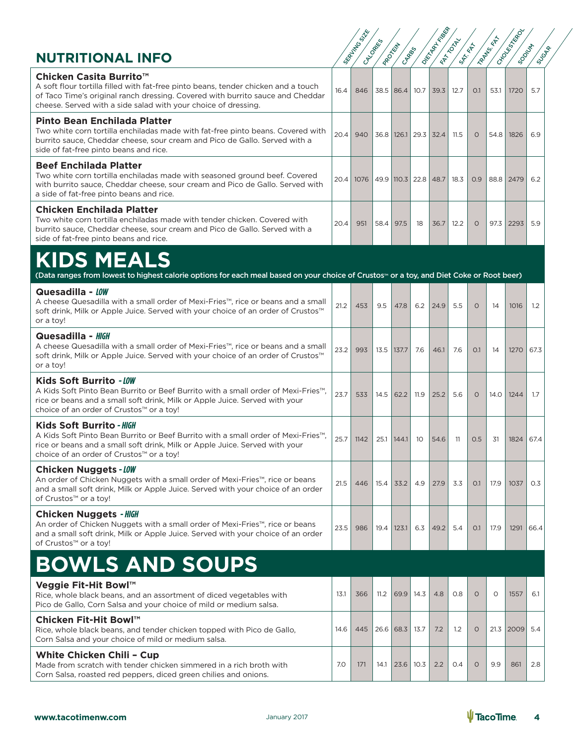| <b>NUTRITIONAL INFO</b>                                                                                                                                                                                                                                                       |      | SEAFTH TO STATE | CALCORES<br>I PROTEIN | CARRO     |                            | Okstantial Base<br><b>FRANCONTY</b> | <b>SAT-REP</b> |          | I Raptus KAT | I CHOOKESTER<br><b>SOONLY'S</b> | SUGAR            |
|-------------------------------------------------------------------------------------------------------------------------------------------------------------------------------------------------------------------------------------------------------------------------------|------|-----------------|-----------------------|-----------|----------------------------|-------------------------------------|----------------|----------|--------------|---------------------------------|------------------|
| Chicken Casita Burrito <sup>™</sup><br>A soft flour tortilla filled with fat-free pinto beans, tender chicken and a touch<br>of Taco Time's original ranch dressing. Covered with burrito sauce and Cheddar<br>cheese. Served with a side salad with your choice of dressing. | 16.4 | 846             |                       | 38.5 86.4 | 10.7                       | 39.3                                | 12.7           | O.1      | 53.1         | 1720                            | 5.7              |
| <b>Pinto Bean Enchilada Platter</b><br>Two white corn tortilla enchiladas made with fat-free pinto beans. Covered with<br>burrito sauce, Cheddar cheese, sour cream and Pico de Gallo. Served with a<br>side of fat-free pinto beans and rice.                                | 20.4 | 940             |                       |           | 36.8   126.1   29.3   32.4 |                                     | 11.5           | $\circ$  | 54.8         | 1826                            | 6.9              |
| <b>Beef Enchilada Platter</b><br>Two white corn tortilla enchiladas made with seasoned ground beef. Covered<br>with burrito sauce, Cheddar cheese, sour cream and Pico de Gallo. Served with<br>a side of fat-free pinto beans and rice.                                      | 20.4 | 1076            |                       |           | 49.9 110.3 22.8 48.7       |                                     | 18.3           | 0.9      |              | 88.8 2479                       | 6.2              |
| <b>Chicken Enchilada Platter</b><br>Two white corn tortilla enchiladas made with tender chicken. Covered with<br>burrito sauce, Cheddar cheese, sour cream and Pico de Gallo. Served with a<br>side of fat-free pinto beans and rice.                                         | 20.4 | 951             | 58.4                  | 97.5      | 18                         | 36.7                                | 12.2           | $\circ$  | 97.3         | 2293                            | 5.9              |
| <b>KIDS MEALS</b><br>(Data ranges from lowest to highest calorie options for each meal based on your choice of Crustos <sup>™</sup> or a toy, and Diet Coke or Root beer)                                                                                                     |      |                 |                       |           |                            |                                     |                |          |              |                                 |                  |
| Quesadilla - LOW<br>A cheese Quesadilla with a small order of Mexi-Fries™, rice or beans and a small<br>soft drink, Milk or Apple Juice. Served with your choice of an order of Crustos™<br>or a toy!                                                                         | 21.2 | 453             | 9.5                   | 47.8      | 6.2                        | 24.9                                | 5.5            | 0        | 14           | 1016                            | $1.2\phantom{0}$ |
| Quesadilla - HIGH<br>A cheese Quesadilla with a small order of Mexi-Fries™, rice or beans and a small<br>soft drink, Milk or Apple Juice. Served with your choice of an order of Crustos™<br>or a toy!                                                                        | 23.2 | 993             | 13.5                  | 137.7     | 7.6                        | 46.1                                | 7.6            | O.1      | 14           | 1270                            | 67.3             |
| Kids Soft Burrito - LOW<br>A Kids Soft Pinto Bean Burrito or Beef Burrito with a small order of Mexi-Fries <sup>™</sup> .<br>rice or beans and a small soft drink, Milk or Apple Juice. Served with your<br>choice of an order of Crustos™ or a toy!                          | 23.7 | 533             | 14.5                  | 62.2      | 11.9                       | 25.2                                | 5.6            | 0        | 14.0         | 1244                            | 1.7              |
| Kids Soft Burrito - HIGH<br>A Kids Soft Pinto Bean Burrito or Beef Burrito with a small order of Mexi-Fries™,<br>rice or beans and a small soft drink, Milk or Apple Juice. Served with your<br>choice of an order of Crustos™ or a toy!                                      | 25.7 | 1142            | 25.1                  | 144.1     | 10                         | 54.6                                | 11             | 0.5      | -31          | 1824                            | 67.4             |
| <b>Chicken Nuggets - LOW</b><br>An order of Chicken Nuggets with a small order of Mexi-Fries™, rice or beans<br>and a small soft drink, Milk or Apple Juice. Served with your choice of an order<br>of Crustos™ or a toy!                                                     | 21.5 | 446             | 15.4                  | 33.2      | 4.9                        | 27.9                                | 3.3            | O.1      | 17.9         | 1037                            | O.3              |
| <b>Chicken Nuggets - HIGH</b><br>An order of Chicken Nuggets with a small order of Mexi-Fries™, rice or beans<br>and a small soft drink, Milk or Apple Juice. Served with your choice of an order<br>of Crustos™ or a toy!                                                    | 23.5 | 986             | 19.4                  | 123.1     | 6.3                        | 49.2                                | 5.4            | O.1      | 17.9         | 1291                            | 66.4             |
| <b>BOWLS AND SOUPS</b>                                                                                                                                                                                                                                                        |      |                 |                       |           |                            |                                     |                |          |              |                                 |                  |
| Veggie Fit-Hit Bowl™<br>Rice, whole black beans, and an assortment of diced vegetables with<br>Pico de Gallo, Corn Salsa and your choice of mild or medium salsa.                                                                                                             | 13.1 | 366             | 11.2                  | 69.9      | 14.3                       | 4.8                                 | 0.8            | $\Omega$ | $\circ$      | 1557                            | 6.1              |
| Chicken Fit-Hit Bowl™<br>Rice, whole black beans, and tender chicken topped with Pico de Gallo,<br>Corn Salsa and your choice of mild or medium salsa.                                                                                                                        | 14.6 | 445             |                       | 26.6 68.3 | 13.7                       | 7.2                                 | 1.2            | 0        |              | 21.3 2009                       | 5.4              |
| White Chicken Chili - Cup<br>Made from scratch with tender chicken simmered in a rich broth with<br>Corn Salsa, roasted red peppers, diced green chilies and onions.                                                                                                          | 7.0  | 171             | 14.1                  | 23.6      | 10.3                       | 2.2                                 | O.4            | $\circ$  | 9.9          | 861                             | 2.8              |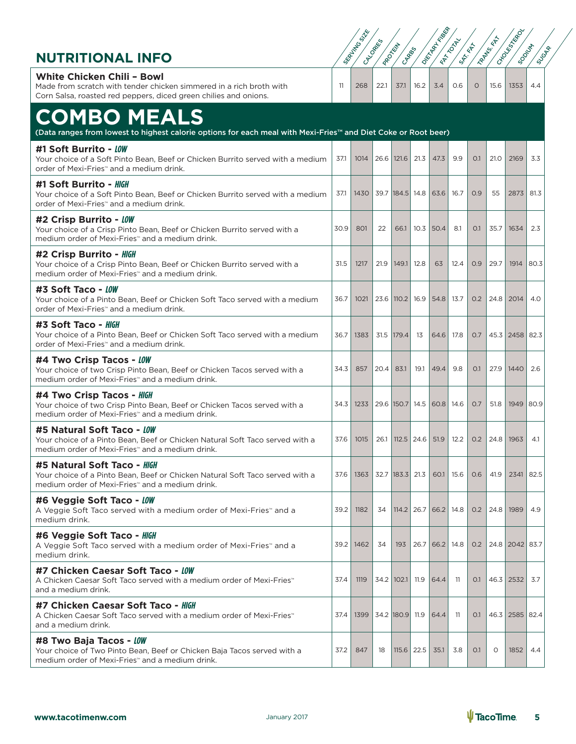| <b>NUTRITIONAL INFO</b>                                                                                                                                                      |      | SEAFTHY BOSINE | CALCORESS<br>I PROTEIN | CARBIS              |              | I OKTAINED                 | I RITTING<br>SAT-REA |          | I Rambus KAT        | I CHOOSESTER<br><b>SOONLY'S</b> | <b>SUGAR</b> |
|------------------------------------------------------------------------------------------------------------------------------------------------------------------------------|------|----------------|------------------------|---------------------|--------------|----------------------------|----------------------|----------|---------------------|---------------------------------|--------------|
| <b>White Chicken Chili - Bowl</b><br>Made from scratch with tender chicken simmered in a rich broth with<br>Corn Salsa, roasted red peppers, diced green chilies and onions. | 11   | 268            | 22.1                   | 37.1                | 16.2         | 3.4                        | O.6                  | $\Omega$ | 15.6                | 1353                            | 4.4          |
| <b>COMBO MEALS</b>                                                                                                                                                           |      |                |                        |                     |              |                            |                      |          |                     |                                 |              |
| (Data ranges from lowest to highest calorie options for each meal with Mexi-Fries™ and Diet Coke or Root beer)                                                               |      |                |                        |                     |              |                            |                      |          |                     |                                 |              |
| #1 Soft Burrito - LOW<br>Your choice of a Soft Pinto Bean, Beef or Chicken Burrito served with a medium<br>order of Mexi-Fries <sup>*</sup> and a medium drink.              | 37.1 | 1014           |                        | 26.6   121.6        | 21.3         | 47.3                       | 9.9                  | O.1      | 21.0                | 2169                            | 3.3          |
| #1 Soft Burrito - HIGH<br>Your choice of a Soft Pinto Bean, Beef or Chicken Burrito served with a medium<br>order of Mexi-Fries <sup>*</sup> and a medium drink.             | 37.1 | 1430           |                        | 39.7   184.5   14.8 |              | 63.6                       | 16.7                 | 0.9      | 55                  | 2873                            | 81.3         |
| #2 Crisp Burrito - LOW<br>Your choice of a Crisp Pinto Bean, Beef or Chicken Burrito served with a<br>medium order of Mexi-Fries <sup>*</sup> and a medium drink.            | 30.9 | 801            | 22                     | 66.1                |              | $10.3$ 50.4                | 8.1                  | O.1      | 35.7                | 1634                            | 2.3          |
| #2 Crisp Burrito - HIGH<br>Your choice of a Crisp Pinto Bean, Beef or Chicken Burrito served with a<br>medium order of Mexi-Fries <sup>*</sup> and a medium drink.           | 31.5 | 1217           | 21.9                   | 149.1               | 12.8         | 63                         | 12.4                 | 0.9      | 29.7                | 1914                            | 80.3         |
| #3 Soft Taco - LOW<br>Your choice of a Pinto Bean, Beef or Chicken Soft Taco served with a medium<br>order of Mexi-Fries <sup>*</sup> and a medium drink.                    | 36.7 | 1021           |                        | 23.6   110.2   16.9 |              | 54.8                       | 13.7                 | 0.2      | 24.8                | 2014                            | 4.0          |
| #3 Soft Taco - HIGH<br>Your choice of a Pinto Bean, Beef or Chicken Soft Taco served with a medium<br>order of Mexi-Fries <sup>*</sup> and a medium drink.                   | 36.7 | 1383           |                        | 31.5 179.4          | 13           | 64.6                       | 17.8                 | O.7      |                     | 45.3 2458 82.3                  |              |
| #4 Two Crisp Tacos - LOW<br>Your choice of two Crisp Pinto Bean, Beef or Chicken Tacos served with a<br>medium order of Mexi-Fries <sup>*</sup> and a medium drink.          | 34.3 | 857            | 20.4                   | 83.1                | 19.1         | 49.4                       | 9.8                  | O.1      |                     | 27.9   1440                     | 2.6          |
| #4 Two Crisp Tacos - HIGH<br>Your choice of two Crisp Pinto Bean, Beef or Chicken Tacos served with a<br>medium order of Mexi-Fries <sup>*</sup> and a medium drink.         | 34.3 | 1233           |                        | 29.6 150.7          |              | 14.5 60.8 14.6             |                      | O.7      | 51.8                | 1949                            | 80.9         |
| #5 Natural Soft Taco - LOW<br>Your choice of a Pinto Bean, Beef or Chicken Natural Soft Taco served with a<br>medium order of Mexi-Fries™ and a medium drink.                | 37.6 | 1015           |                        |                     |              | 26.1   112.5   24.6   51.9 | 12.2                 |          | $0.2$   24.8   1963 |                                 | 4.1          |
| #5 Natural Soft Taco - HIGH<br>Your choice of a Pinto Bean, Beef or Chicken Natural Soft Taco served with a<br>medium order of Mexi-Fries <sup>*</sup> and a medium drink.   | 37.6 | 1363           |                        | 32.7 183.3 21.3     |              | 60.1                       | 15.6                 | O.6      | 41.9                | 2341                            | 82.5         |
| #6 Veggie Soft Taco - LOW<br>A Veggie Soft Taco served with a medium order of Mexi-Fries <sup>®</sup> and a<br>medium drink.                                                 | 39.2 | 1182           | 34                     |                     | $114.2$ 26.7 | 66.2                       | 14.8                 | O.2      | 24.8                | 1989                            | 4.9          |
| #6 Veggie Soft Taco - HIGH<br>A Veggie Soft Taco served with a medium order of Mexi-Fries <sup>®</sup> and a<br>medium drink.                                                | 39.2 | 1462           | 34                     | 193                 | 26.7         | 66.2                       | 14.8                 | 0.2      |                     | 24.8 2042 83.7                  |              |
| #7 Chicken Caesar Soft Taco - LOW<br>A Chicken Caesar Soft Taco served with a medium order of Mexi-Fries <sup>™</sup><br>and a medium drink.                                 | 37.4 | 1119           |                        | 34.2   102.1        | 11.9         | 64.4                       | -11                  | O.1      |                     | 46.3 2532                       | 3.7          |
| #7 Chicken Caesar Soft Taco - HIGH<br>A Chicken Caesar Soft Taco served with a medium order of Mexi-Fries <sup>®</sup><br>and a medium drink.                                | 37.4 | 1399           |                        | 34.2 180.9          | 11.9         | 64.4                       | -11                  | O.1      |                     | 46.3 2585 82.4                  |              |
| #8 Two Baja Tacos - LOW<br>Your choice of Two Pinto Bean, Beef or Chicken Baja Tacos served with a<br>medium order of Mexi-Fries <sup>*</sup> and a medium drink.            | 37.2 | 847            | 18                     | $115.6$   22.5      |              | 35.1                       | 3.8                  | O.1      | 0                   | 1852                            | 4.4          |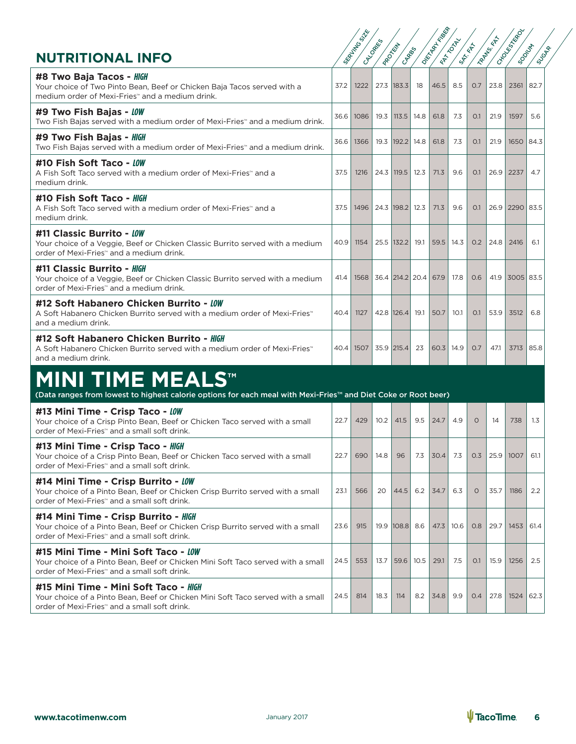| #8 Two Baja Tacos - HIGH<br>Your choice of Two Pinto Bean, Beef or Chicken Baja Tacos served with a<br>medium order of Mexi-Fries <sup>*</sup> and a medium drink.                   | 37.2 | 1222                                            |      | 27.3   183.3    | 18   | 46.5        | 8.5  | 0.7      | 23.8 | 2361           | 82.7             |
|--------------------------------------------------------------------------------------------------------------------------------------------------------------------------------------|------|-------------------------------------------------|------|-----------------|------|-------------|------|----------|------|----------------|------------------|
| #9 Two Fish Bajas - LOW<br>Two Fish Bajas served with a medium order of Mexi-Fries <sup>®</sup> and a medium drink.                                                                  | 36.6 | 1086                                            | 19.3 | 113.5           | 14.8 | 61.8        | 7.3  | O.1      | 21.9 | 1597           | 5.6              |
| #9 Two Fish Bajas - HIGH<br>Two Fish Bajas served with a medium order of Mexi-Fries <sup>**</sup> and a medium drink.                                                                | 36.6 | 1366                                            | 19.3 | $ 192.2 $ 14.8  |      | 61.8        | 7.3  | O.1      | 21.9 | 1650   84.3    |                  |
| #10 Fish Soft Taco - LOW<br>A Fish Soft Taco served with a medium order of Mexi-Fries <sup>®</sup> and a<br>medium drink.                                                            | 37.5 | 1216                                            |      | 24.3   119.5    | 12.3 | 71.3        | 9.6  | O.1      | 26.9 | 2237           | 4.7              |
| #10 Fish Soft Taco - HIGH<br>A Fish Soft Taco served with a medium order of Mexi-Fries <sup>®</sup> and a<br>medium drink.                                                           | 37.5 | 1496                                            |      | 24.3 198.2 12.3 |      | 71.3        | 9.6  | O.1      |      | 26.9 2290 83.5 |                  |
| #11 Classic Burrito - LOW<br>Your choice of a Veggie, Beef or Chicken Classic Burrito served with a medium<br>order of Mexi-Fries <sup>*</sup> and a medium drink.                   | 40.9 | 1154                                            |      | 25.5   132.2    | 19.1 | 59.5        | 14.3 | 0.2      | 24.8 | 2416           | 6.1              |
| #11 Classic Burrito - HIGH<br>Your choice of a Veggie, Beef or Chicken Classic Burrito served with a medium<br>order of Mexi-Fries <sup>*</sup> and a medium drink.                  | 41.4 | 1568                                            |      | 36.4 214.2 20.4 |      | 67.9        | 17.8 | 0.6      | 41.9 | 3005 83.5      |                  |
| #12 Soft Habanero Chicken Burrito - LOW<br>A Soft Habanero Chicken Burrito served with a medium order of Mexi-Fries <sup>®</sup><br>and a medium drink.                              | 40.4 | 1127                                            |      | 42.8 126.4      | 19.1 | 50.7        | 10.1 | O.1      | 53.9 | 3512           | 6.8              |
| #12 Soft Habanero Chicken Burrito - HIGH<br>A Soft Habanero Chicken Burrito served with a medium order of Mexi-Fries <sup>"</sup><br>and a medium drink.                             |      | 40.4   1507                                     |      | 35.9 215.4      | 23   | $60.3$ 14.9 |      | 0.7      | 47.1 | 3713 85.8      |                  |
| <b>MINI TIME MEALS™</b><br>(Data ranges from lowest to highest calorie options for each meal with Mexi-Fries™ and Diet Coke or Root beer)                                            |      |                                                 |      |                 |      |             |      |          |      |                |                  |
| #13 Mini Time - Crisp Taco - LOW<br>Your choice of a Crisp Pinto Bean, Beef or Chicken Taco served with a small<br>order of Mexi-Fries" and a small soft drink.                      | 22.7 | 429                                             | 10.2 | 41.5            | 9.5  | 24.7        | 4.9  | $\Omega$ | 14   | 738            | $1.3\phantom{0}$ |
| #13 Mini Time - Crisp Taco - HIGH<br>Your choice of a Crisp Pinto Bean, Beef or Chicken Taco served with a small<br>order of Mexi-Fries <sup>™</sup> and a small soft drink.         | 22.7 | 690                                             | 14.8 | 96              | 7.3  | 30.4        | 7.3  | 0.3      | 25.9 | 1007           | 61.1             |
| #14 Mini Time - Crisp Burrito - LOW<br>Your choice of a Pinto Bean, Beef or Chicken Crisp Burrito served with a small<br>order of Mexi-Fries <sup>*</sup> and a small soft drink.    |      | $23.1$ 566 20 44.5 6.2 34.7 6.3 0 35.7 1186 2.2 |      |                 |      |             |      |          |      |                |                  |
| #14 Mini Time - Crisp Burrito - HIGH<br>Your choice of a Pinto Bean, Beef or Chicken Crisp Burrito served with a small<br>order of Mexi-Fries <sup>*</sup> and a small soft drink.   | 23.6 | 915                                             |      | 19.9 108.8 8.6  |      | 47.3        | 10.6 | 0.8      | 29.7 | 1453           | 61.4             |
| #15 Mini Time - Mini Soft Taco - LOW<br>Your choice of a Pinto Bean, Beef or Chicken Mini Soft Taco served with a small<br>order of Mexi-Fries <sup>*</sup> and a small soft drink.  | 24.5 | 553                                             | 13.7 | 59.6            | 10.5 | 29.1        | 7.5  | O.1      | 15.9 | 1256           | 2.5              |
| #15 Mini Time - Mini Soft Taco - HIGH<br>Your choice of a Pinto Bean, Beef or Chicken Mini Soft Taco served with a small<br>order of Mexi-Fries <sup>*</sup> and a small soft drink. | 24.5 | 814                                             | 18.3 | 114             | 8.2  | 34.8        | 9.9  | 0.4      | 27.8 | 1524           | 62.3             |

SERVING SIZE OF TRANS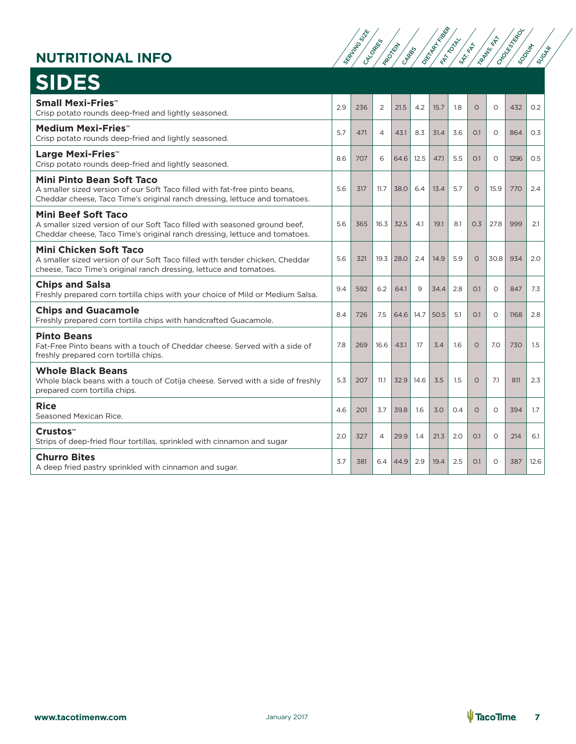| <b>NUTRITIONAL INFO</b>                                                                                                                                                                      |     | SERVITTO S | CALCORATIO     | <b>PROCKET</b><br>CARROS |      | <b>DEFITERE</b> | <b>FRANDLAN</b><br>SAT-ERT |          | <b>TARTAS</b> | <b>CHOOLES</b><br><b>SOONLY</b> | <b>SUGAR</b> |
|----------------------------------------------------------------------------------------------------------------------------------------------------------------------------------------------|-----|------------|----------------|--------------------------|------|-----------------|----------------------------|----------|---------------|---------------------------------|--------------|
| <b>SIDES</b>                                                                                                                                                                                 |     |            |                |                          |      |                 |                            |          |               |                                 |              |
| <b>Small Mexi-Fries™</b><br>Crisp potato rounds deep-fried and lightly seasoned.                                                                                                             | 2.9 | 236        | 2              | 21.5                     | 4.2  | 15.7            | 1.8                        | $\circ$  | $\circ$       | 432                             | O.2          |
| Medium Mexi-Fries™<br>Crisp potato rounds deep-fried and lightly seasoned.                                                                                                                   | 5.7 | 471        | $\overline{4}$ | 43.1                     | 8.3  | 31.4            | 3.6                        | O.1      | $\circ$       | 864                             | O.3          |
| Large Mexi-Fries <sup>**</sup><br>Crisp potato rounds deep-fried and lightly seasoned.                                                                                                       | 8.6 | 707        | 6              | 64.6                     | 12.5 | 47.1            | 5.5                        | O.1      | $\circ$       | 1296                            | 0.5          |
| <b>Mini Pinto Bean Soft Taco</b><br>A smaller sized version of our Soft Taco filled with fat-free pinto beans,<br>Cheddar cheese, Taco Time's original ranch dressing, lettuce and tomatoes. | 5.6 | 317        | 11.7           | 38.0                     | 6.4  | 13.4            | 5.7                        | $\circ$  | 15.9          | 770                             | 2.4          |
| <b>Mini Beef Soft Taco</b><br>A smaller sized version of our Soft Taco filled with seasoned ground beef,<br>Cheddar cheese, Taco Time's original ranch dressing, lettuce and tomatoes.       | 5.6 | 365        | 16.3           | 32.5                     | 4.1  | 19.1            | 8.1                        | 0.3      | 27.8          | 999                             | 2.1          |
| Mini Chicken Soft Taco<br>A smaller sized version of our Soft Taco filled with tender chicken, Cheddar<br>cheese, Taco Time's original ranch dressing, lettuce and tomatoes.                 | 5.6 | 321        | 19.3           | 28.0                     | 2.4  | 14.9            | 5.9                        | $\circ$  | 30.8          | 934                             | 2.0          |
| <b>Chips and Salsa</b><br>Freshly prepared corn tortilla chips with your choice of Mild or Medium Salsa.                                                                                     | 9.4 | 592        | 6.2            | 64.1                     | 9    | 34.4            | 2.8                        | O.1      | $\Omega$      | 847                             | 7.3          |
| <b>Chips and Guacamole</b><br>Freshly prepared corn tortilla chips with handcrafted Guacamole.                                                                                               | 8.4 | 726        | 7.5            | 64.6                     | 14.7 | 50.5            | 5.1                        | O.1      | $\circ$       | 1168                            | 2.8          |
| <b>Pinto Beans</b><br>Fat-Free Pinto beans with a touch of Cheddar cheese. Served with a side of<br>freshly prepared corn tortilla chips.                                                    | 7.8 | 269        | 16.6           | 43.1                     | 17   | 3.4             | 1.6                        | $\Omega$ | 7.0           | 730                             | 1.5          |
| <b>Whole Black Beans</b><br>Whole black beans with a touch of Cotija cheese. Served with a side of freshly<br>prepared corn tortilla chips.                                                  | 5.3 | 207        | 11.1           | 32.9                     | 14.6 | 3.5             | 1.5                        | $\Omega$ | 7.1           | 811                             | 2.3          |
| <b>Rice</b><br>Seasoned Mexican Rice.                                                                                                                                                        | 4.6 | 201        | 3.7            | 39.8                     | 1.6  | 3.0             | O.4                        | $\Omega$ | $\Omega$      | 394                             | 1.7          |
| Crustos™<br>Strips of deep-fried flour tortillas, sprinkled with cinnamon and sugar                                                                                                          | 2.0 | 327        | $\overline{4}$ | 29.9                     | 1.4  | 21.3            | 2.0                        | O.1      | $\circ$       | 214                             | 6.1          |
| <b>Churro Bites</b><br>A deep fried pastry sprinkled with cinnamon and sugar.                                                                                                                | 3.7 | 381        | 6.4            | 44.9                     | 2.9  | 19.4            | 2.5                        | O.1      | $\Omega$      | 387                             | 12.6         |

SERVING SIZE<br>CALLORIES SERVING

ATE TRANS. FATISFIED